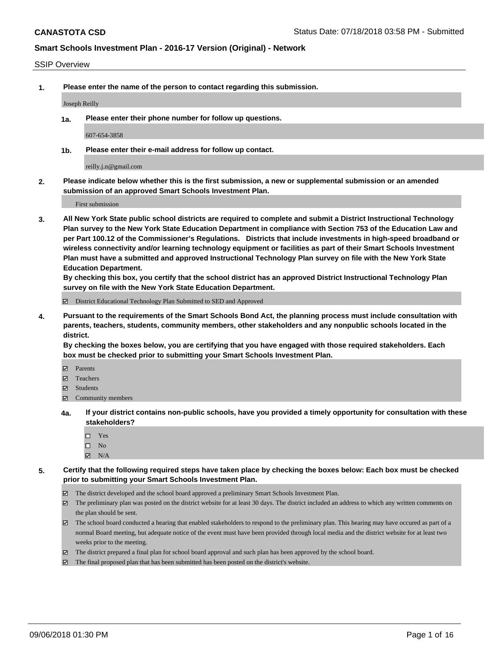#### SSIP Overview

**1. Please enter the name of the person to contact regarding this submission.**

Joseph Reilly

**1a. Please enter their phone number for follow up questions.**

607-654-3858

**1b. Please enter their e-mail address for follow up contact.**

reilly.j.n@gmail.com

**2. Please indicate below whether this is the first submission, a new or supplemental submission or an amended submission of an approved Smart Schools Investment Plan.**

First submission

**3. All New York State public school districts are required to complete and submit a District Instructional Technology Plan survey to the New York State Education Department in compliance with Section 753 of the Education Law and per Part 100.12 of the Commissioner's Regulations. Districts that include investments in high-speed broadband or wireless connectivity and/or learning technology equipment or facilities as part of their Smart Schools Investment Plan must have a submitted and approved Instructional Technology Plan survey on file with the New York State Education Department.** 

**By checking this box, you certify that the school district has an approved District Instructional Technology Plan survey on file with the New York State Education Department.**

District Educational Technology Plan Submitted to SED and Approved

**4. Pursuant to the requirements of the Smart Schools Bond Act, the planning process must include consultation with parents, teachers, students, community members, other stakeholders and any nonpublic schools located in the district.** 

**By checking the boxes below, you are certifying that you have engaged with those required stakeholders. Each box must be checked prior to submitting your Smart Schools Investment Plan.**

- **Parents**
- Teachers
- **☑** Students
- **☑** Community members
- **4a. If your district contains non-public schools, have you provided a timely opportunity for consultation with these stakeholders?**
	- □ Yes
	- $\square$  No
	- $\boxtimes$  N/A
- **5. Certify that the following required steps have taken place by checking the boxes below: Each box must be checked prior to submitting your Smart Schools Investment Plan.**
	- The district developed and the school board approved a preliminary Smart Schools Investment Plan.
	- $\boxtimes$  The preliminary plan was posted on the district website for at least 30 days. The district included an address to which any written comments on the plan should be sent.
	- The school board conducted a hearing that enabled stakeholders to respond to the preliminary plan. This hearing may have occured as part of a normal Board meeting, but adequate notice of the event must have been provided through local media and the district website for at least two weeks prior to the meeting.
	- The district prepared a final plan for school board approval and such plan has been approved by the school board.
	- The final proposed plan that has been submitted has been posted on the district's website.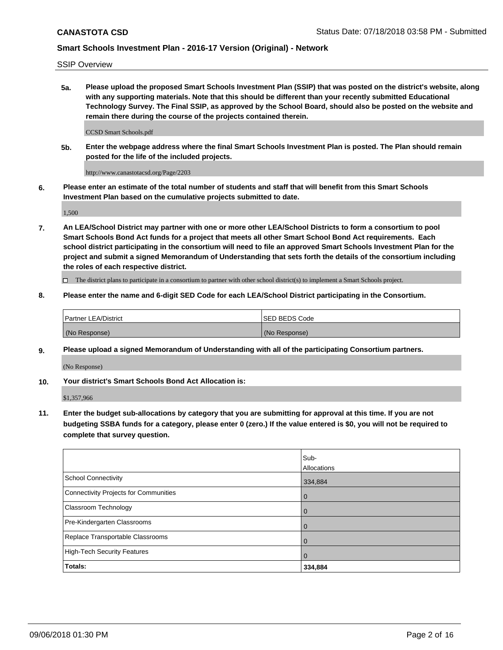SSIP Overview

**5a. Please upload the proposed Smart Schools Investment Plan (SSIP) that was posted on the district's website, along with any supporting materials. Note that this should be different than your recently submitted Educational Technology Survey. The Final SSIP, as approved by the School Board, should also be posted on the website and remain there during the course of the projects contained therein.**

CCSD Smart Schools.pdf

**5b. Enter the webpage address where the final Smart Schools Investment Plan is posted. The Plan should remain posted for the life of the included projects.**

http://www.canastotacsd.org/Page/2203

**6. Please enter an estimate of the total number of students and staff that will benefit from this Smart Schools Investment Plan based on the cumulative projects submitted to date.**

1,500

**7. An LEA/School District may partner with one or more other LEA/School Districts to form a consortium to pool Smart Schools Bond Act funds for a project that meets all other Smart School Bond Act requirements. Each school district participating in the consortium will need to file an approved Smart Schools Investment Plan for the project and submit a signed Memorandum of Understanding that sets forth the details of the consortium including the roles of each respective district.**

 $\Box$  The district plans to participate in a consortium to partner with other school district(s) to implement a Smart Schools project.

#### **8. Please enter the name and 6-digit SED Code for each LEA/School District participating in the Consortium.**

| Partner LEA/District | <b>ISED BEDS Code</b> |
|----------------------|-----------------------|
| (No Response)        | (No Response)         |

#### **9. Please upload a signed Memorandum of Understanding with all of the participating Consortium partners.**

(No Response)

**10. Your district's Smart Schools Bond Act Allocation is:**

\$1,357,966

**11. Enter the budget sub-allocations by category that you are submitting for approval at this time. If you are not budgeting SSBA funds for a category, please enter 0 (zero.) If the value entered is \$0, you will not be required to complete that survey question.**

|                                       | Sub-<br><b>Allocations</b> |
|---------------------------------------|----------------------------|
| School Connectivity                   | 334,884                    |
| Connectivity Projects for Communities | $\overline{0}$             |
| <b>Classroom Technology</b>           | $\overline{0}$             |
| Pre-Kindergarten Classrooms           | $\mathbf 0$                |
| Replace Transportable Classrooms      | $\mathbf 0$                |
| High-Tech Security Features           | $\Omega$                   |
| Totals:                               | 334,884                    |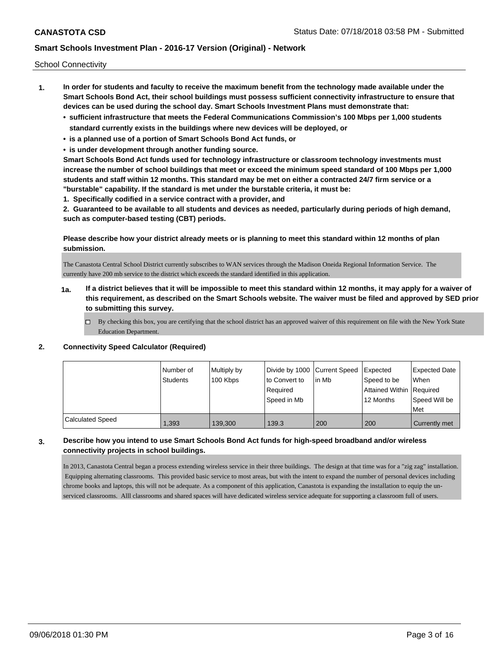School Connectivity

- **1. In order for students and faculty to receive the maximum benefit from the technology made available under the Smart Schools Bond Act, their school buildings must possess sufficient connectivity infrastructure to ensure that devices can be used during the school day. Smart Schools Investment Plans must demonstrate that:**
	- **• sufficient infrastructure that meets the Federal Communications Commission's 100 Mbps per 1,000 students standard currently exists in the buildings where new devices will be deployed, or**
	- **• is a planned use of a portion of Smart Schools Bond Act funds, or**
	- **• is under development through another funding source.**

**Smart Schools Bond Act funds used for technology infrastructure or classroom technology investments must increase the number of school buildings that meet or exceed the minimum speed standard of 100 Mbps per 1,000 students and staff within 12 months. This standard may be met on either a contracted 24/7 firm service or a "burstable" capability. If the standard is met under the burstable criteria, it must be:**

**1. Specifically codified in a service contract with a provider, and**

**2. Guaranteed to be available to all students and devices as needed, particularly during periods of high demand, such as computer-based testing (CBT) periods.**

**Please describe how your district already meets or is planning to meet this standard within 12 months of plan submission.**

The Canastota Central School District currently subscribes to WAN services through the Madison Oneida Regional Information Service. The currently have 200 mb service to the district which exceeds the standard identified in this application.

- **1a. If a district believes that it will be impossible to meet this standard within 12 months, it may apply for a waiver of this requirement, as described on the Smart Schools website. The waiver must be filed and approved by SED prior to submitting this survey.**
	- $\Box$  By checking this box, you are certifying that the school district has an approved waiver of this requirement on file with the New York State Education Department.

#### **2. Connectivity Speed Calculator (Required)**

|                         | Number of<br>Students | Multiply by<br>100 Kbps | Divide by 1000 Current Speed<br>to Convert to<br>Required<br>Speed in Mb | lin Mb | Expected<br>Speed to be<br>Attained Within   Required<br>12 Months | <b>Expected Date</b><br>When<br>Speed Will be<br>Met |
|-------------------------|-----------------------|-------------------------|--------------------------------------------------------------------------|--------|--------------------------------------------------------------------|------------------------------------------------------|
| <b>Calculated Speed</b> | 1,393                 | 139,300                 | 139.3                                                                    | 200    | 200                                                                | Currently met                                        |

## **3. Describe how you intend to use Smart Schools Bond Act funds for high-speed broadband and/or wireless connectivity projects in school buildings.**

In 2013, Canastota Central began a process extending wireless service in their three buildings. The design at that time was for a "zig zag" installation. Equipping alternating classrooms. This provided basic service to most areas, but with the intent to expand the number of personal devices including chrome books and laptops, this will not be adequate. As a component of this application, Canastota is expanding the installation to equip the unserviced classrooms. Alll classrooms and shared spaces will have dedicated wireless service adequate for supporting a classroom full of users.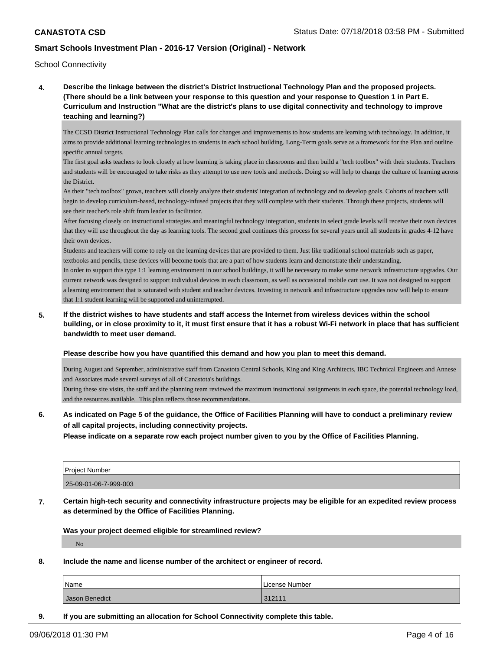School Connectivity

**4. Describe the linkage between the district's District Instructional Technology Plan and the proposed projects. (There should be a link between your response to this question and your response to Question 1 in Part E. Curriculum and Instruction "What are the district's plans to use digital connectivity and technology to improve teaching and learning?)**

The CCSD District Instructional Technology Plan calls for changes and improvements to how students are learning with technology. In addition, it aims to provide additional learning technologies to students in each school building. Long-Term goals serve as a framework for the Plan and outline specific annual targets.

The first goal asks teachers to look closely at how learning is taking place in classrooms and then build a "tech toolbox" with their students. Teachers and students will be encouraged to take risks as they attempt to use new tools and methods. Doing so will help to change the culture of learning across the District.

As their "tech toolbox" grows, teachers will closely analyze their students' integration of technology and to develop goals. Cohorts of teachers will begin to develop curriculum-based, technology-infused projects that they will complete with their students. Through these projects, students will see their teacher's role shift from leader to facilitator.

After focusing closely on instructional strategies and meaningful technology integration, students in select grade levels will receive their own devices that they will use throughout the day as learning tools. The second goal continues this process for several years until all students in grades 4-12 have their own devices.

Students and teachers will come to rely on the learning devices that are provided to them. Just like traditional school materials such as paper, textbooks and pencils, these devices will become tools that are a part of how students learn and demonstrate their understanding. In order to support this type 1:1 learning environment in our school buildings, it will be necessary to make some network infrastructure upgrades. Our current network was designed to support individual devices in each classroom, as well as occasional mobile cart use. It was not designed to support a learning environment that is saturated with student and teacher devices. Investing in network and infrastructure upgrades now will help to ensure that 1:1 student learning will be supported and uninterrupted.

**5. If the district wishes to have students and staff access the Internet from wireless devices within the school building, or in close proximity to it, it must first ensure that it has a robust Wi-Fi network in place that has sufficient bandwidth to meet user demand.**

#### **Please describe how you have quantified this demand and how you plan to meet this demand.**

During August and September, administrative staff from Canastota Central Schools, King and King Architects, IBC Technical Engineers and Annese and Associates made several surveys of all of Canastota's buildings.

During these site visits, the staff and the planning team reviewed the maximum instructional assignments in each space, the potential technology load, and the resources available. This plan reflects those recommendations.

## **6. As indicated on Page 5 of the guidance, the Office of Facilities Planning will have to conduct a preliminary review of all capital projects, including connectivity projects.**

**Please indicate on a separate row each project number given to you by the Office of Facilities Planning.**

| <b>Project Number</b> |  |
|-----------------------|--|
| 25-09-01-06-7-999-003 |  |

**7. Certain high-tech security and connectivity infrastructure projects may be eligible for an expedited review process as determined by the Office of Facilities Planning.**

**Was your project deemed eligible for streamlined review?**

No

**8. Include the name and license number of the architect or engineer of record.**

| Name           | License Number |
|----------------|----------------|
| Jason Benedict | 312111         |

**9. If you are submitting an allocation for School Connectivity complete this table.**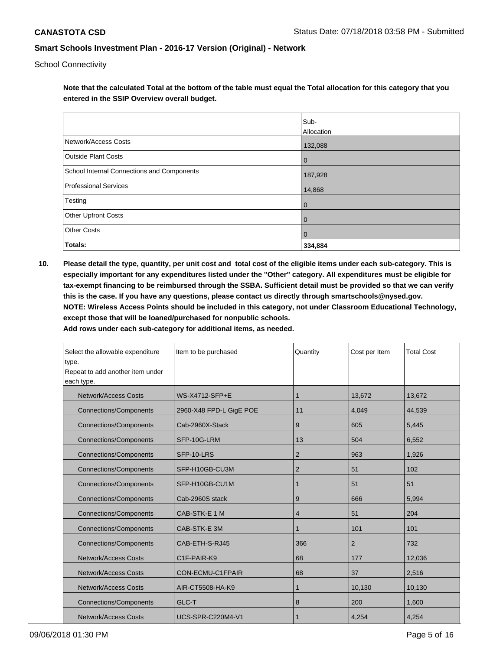School Connectivity

**Note that the calculated Total at the bottom of the table must equal the Total allocation for this category that you entered in the SSIP Overview overall budget.** 

|                                                   | Sub-         |
|---------------------------------------------------|--------------|
|                                                   | Allocation   |
| Network/Access Costs                              | 132,088      |
| <b>Outside Plant Costs</b>                        | $\mathbf 0$  |
| <b>School Internal Connections and Components</b> | 187,928      |
| <b>Professional Services</b>                      | 14,868       |
| Testing                                           | $\mathbf 0$  |
| Other Upfront Costs                               | $\mathbf 0$  |
| <b>Other Costs</b>                                | $\mathbf{0}$ |
| Totals:                                           | 334,884      |

**10. Please detail the type, quantity, per unit cost and total cost of the eligible items under each sub-category. This is especially important for any expenditures listed under the "Other" category. All expenditures must be eligible for tax-exempt financing to be reimbursed through the SSBA. Sufficient detail must be provided so that we can verify this is the case. If you have any questions, please contact us directly through smartschools@nysed.gov. NOTE: Wireless Access Points should be included in this category, not under Classroom Educational Technology, except those that will be loaned/purchased for nonpublic schools.**

| Select the allowable expenditure<br>type.<br>Repeat to add another item under<br>each type. | Item to be purchased                 | Quantity       | Cost per Item  | <b>Total Cost</b> |
|---------------------------------------------------------------------------------------------|--------------------------------------|----------------|----------------|-------------------|
| <b>Network/Access Costs</b>                                                                 | WS-X4712-SFP+E                       | 1              | 13,672         | 13,672            |
| <b>Connections/Components</b>                                                               | 2960-X48 FPD-L GigE POE              | 11             | 4,049          | 44,539            |
| <b>Connections/Components</b>                                                               | Cab-2960X-Stack                      | 9              | 605            | 5,445             |
| <b>Connections/Components</b>                                                               | SFP-10G-LRM                          | 13             | 504            | 6,552             |
| <b>Connections/Components</b>                                                               | SFP-10-LRS                           | $\overline{2}$ | 963            | 1,926             |
| <b>Connections/Components</b>                                                               | SFP-H10GB-CU3M                       | $\overline{2}$ |                | 102               |
| <b>Connections/Components</b>                                                               | SFP-H10GB-CU1M                       | 1              | 51             | 51                |
| <b>Connections/Components</b>                                                               | Cab-2960S stack                      | 9              | 666            | 5,994             |
| <b>Connections/Components</b>                                                               | CAB-STK-E 1 M                        | 4              | 51             | 204               |
| <b>Connections/Components</b>                                                               | CAB-STK-E 3M                         | 1              | 101            | 101               |
| <b>Connections/Components</b>                                                               | CAB-ETH-S-RJ45                       | 366            | $\overline{2}$ | 732               |
| <b>Network/Access Costs</b>                                                                 | C <sub>1</sub> F-PAIR-K <sub>9</sub> | 68             | 177            | 12,036            |
| <b>Network/Access Costs</b>                                                                 | CON-ECMU-C1FPAIR                     | 68             | 37             | 2,516             |
| <b>Network/Access Costs</b>                                                                 | AIR-CT5508-HA-K9                     | 1              | 10,130         | 10,130            |
| <b>Connections/Components</b>                                                               | GLC-T                                | 8              | 200            | 1,600             |
| <b>Network/Access Costs</b>                                                                 | UCS-SPR-C220M4-V1                    | 1              | 4,254          | 4,254             |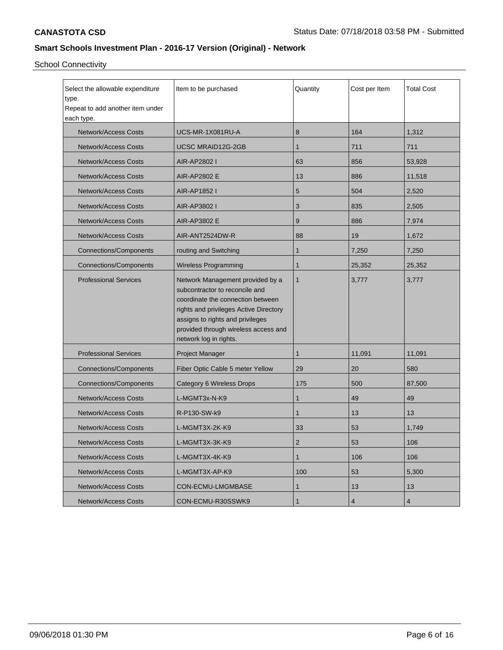School Connectivity

| Select the allowable expenditure<br>Item to be purchased<br>type.<br>Repeat to add another item under<br>each type. |                                                                                                                                                                                                                                                         | Quantity     | Cost per Item | <b>Total Cost</b> |
|---------------------------------------------------------------------------------------------------------------------|---------------------------------------------------------------------------------------------------------------------------------------------------------------------------------------------------------------------------------------------------------|--------------|---------------|-------------------|
| <b>Network/Access Costs</b>                                                                                         | UCS-MR-1X081RU-A                                                                                                                                                                                                                                        | 8            | 164           | 1,312             |
| <b>Network/Access Costs</b>                                                                                         | <b>UCSC MRAID12G-2GB</b>                                                                                                                                                                                                                                | $\mathbf 1$  | 711           | 711               |
| <b>Network/Access Costs</b>                                                                                         | AIR-AP2802 I                                                                                                                                                                                                                                            | 63           | 856           | 53,928            |
| <b>Network/Access Costs</b>                                                                                         | <b>AIR-AP2802 E</b>                                                                                                                                                                                                                                     | 13           | 886           | 11,518            |
| <b>Network/Access Costs</b>                                                                                         | AIR-AP1852 I                                                                                                                                                                                                                                            | 5            | 504           | 2,520             |
| <b>Network/Access Costs</b>                                                                                         | AIR-AP3802 I                                                                                                                                                                                                                                            | 3            | 835           | 2,505             |
| <b>Network/Access Costs</b>                                                                                         | AIR-AP3802 E                                                                                                                                                                                                                                            | 9            | 886           | 7,974             |
| <b>Network/Access Costs</b>                                                                                         | AIR-ANT2524DW-R                                                                                                                                                                                                                                         | 88           | 19            | 1,672             |
| <b>Connections/Components</b>                                                                                       | routing and Switching                                                                                                                                                                                                                                   | $\mathbf{1}$ | 7,250         | 7,250             |
| Connections/Components                                                                                              | <b>Wireless Programming</b>                                                                                                                                                                                                                             | $\mathbf{1}$ | 25,352        | 25,352            |
| <b>Professional Services</b>                                                                                        | Network Management provided by a<br>subcontractor to reconcile and<br>coordinate the connection between<br>rights and privileges Active Directory<br>assigns to rights and privileges<br>provided through wireless access and<br>network log in rights. | $\mathbf{1}$ | 3,777         | 3,777             |
| <b>Professional Services</b><br>Project Manager                                                                     |                                                                                                                                                                                                                                                         | $\mathbf{1}$ | 11,091        | 11,091            |
| <b>Connections/Components</b>                                                                                       | Fiber Optic Cable 5 meter Yellow                                                                                                                                                                                                                        | 29           | 20            | 580               |
| <b>Connections/Components</b>                                                                                       | Category 6 Wireless Drops                                                                                                                                                                                                                               | 175          | 500           | 87,500            |
| <b>Network/Access Costs</b>                                                                                         | L-MGMT3x-N-K9                                                                                                                                                                                                                                           | 1            | 49            | 49                |
| <b>Network/Access Costs</b>                                                                                         | R-P130-SW-k9                                                                                                                                                                                                                                            | 1            | 13            | 13                |
| <b>Network/Access Costs</b>                                                                                         | L-MGMT3X-2K-K9                                                                                                                                                                                                                                          | 33           | 53            | 1,749             |
| <b>Network/Access Costs</b>                                                                                         | L-MGMT3X-3K-K9                                                                                                                                                                                                                                          | 2            | 53            | 106               |
| <b>Network/Access Costs</b>                                                                                         | L-MGMT3X-4K-K9                                                                                                                                                                                                                                          | $\mathbf{1}$ | 106           | 106               |
| <b>Network/Access Costs</b>                                                                                         | L-MGMT3X-AP-K9                                                                                                                                                                                                                                          | 100          | 53            | 5,300             |
| <b>Network/Access Costs</b>                                                                                         | CON-ECMU-LMGMBASE                                                                                                                                                                                                                                       | 1            | 13            | 13                |
| <b>Network/Access Costs</b><br>CON-ECMU-R30SSWK9                                                                    |                                                                                                                                                                                                                                                         | 1            | 4             | 4                 |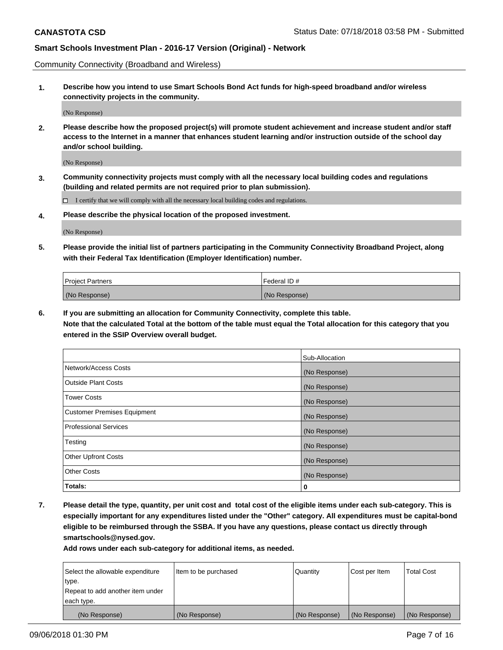Community Connectivity (Broadband and Wireless)

**1. Describe how you intend to use Smart Schools Bond Act funds for high-speed broadband and/or wireless connectivity projects in the community.**

(No Response)

**2. Please describe how the proposed project(s) will promote student achievement and increase student and/or staff access to the Internet in a manner that enhances student learning and/or instruction outside of the school day and/or school building.**

(No Response)

**3. Community connectivity projects must comply with all the necessary local building codes and regulations (building and related permits are not required prior to plan submission).**

 $\Box$  I certify that we will comply with all the necessary local building codes and regulations.

**4. Please describe the physical location of the proposed investment.**

(No Response)

**5. Please provide the initial list of partners participating in the Community Connectivity Broadband Project, along with their Federal Tax Identification (Employer Identification) number.**

| <b>Project Partners</b> | l Federal ID # |
|-------------------------|----------------|
| (No Response)           | (No Response)  |

**6. If you are submitting an allocation for Community Connectivity, complete this table.**

**Note that the calculated Total at the bottom of the table must equal the Total allocation for this category that you entered in the SSIP Overview overall budget.**

|                                    | Sub-Allocation |
|------------------------------------|----------------|
| Network/Access Costs               | (No Response)  |
| <b>Outside Plant Costs</b>         | (No Response)  |
| <b>Tower Costs</b>                 | (No Response)  |
| <b>Customer Premises Equipment</b> | (No Response)  |
| <b>Professional Services</b>       | (No Response)  |
| Testing                            | (No Response)  |
| <b>Other Upfront Costs</b>         | (No Response)  |
| <b>Other Costs</b>                 | (No Response)  |
| Totals:                            | 0              |

**7. Please detail the type, quantity, per unit cost and total cost of the eligible items under each sub-category. This is especially important for any expenditures listed under the "Other" category. All expenditures must be capital-bond eligible to be reimbursed through the SSBA. If you have any questions, please contact us directly through smartschools@nysed.gov.**

| Select the allowable expenditure | Item to be purchased | Quantity      | Cost per Item | <b>Total Cost</b> |
|----------------------------------|----------------------|---------------|---------------|-------------------|
| type.                            |                      |               |               |                   |
| Repeat to add another item under |                      |               |               |                   |
| each type.                       |                      |               |               |                   |
| (No Response)                    | (No Response)        | (No Response) | (No Response) | (No Response)     |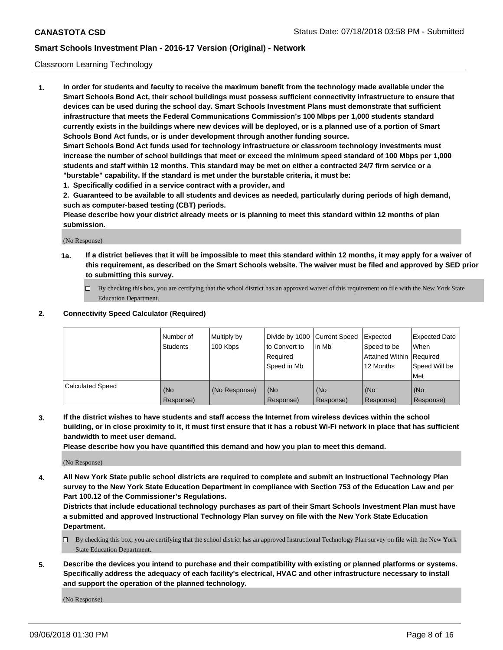#### Classroom Learning Technology

**1. In order for students and faculty to receive the maximum benefit from the technology made available under the Smart Schools Bond Act, their school buildings must possess sufficient connectivity infrastructure to ensure that devices can be used during the school day. Smart Schools Investment Plans must demonstrate that sufficient infrastructure that meets the Federal Communications Commission's 100 Mbps per 1,000 students standard currently exists in the buildings where new devices will be deployed, or is a planned use of a portion of Smart Schools Bond Act funds, or is under development through another funding source. Smart Schools Bond Act funds used for technology infrastructure or classroom technology investments must increase the number of school buildings that meet or exceed the minimum speed standard of 100 Mbps per 1,000 students and staff within 12 months. This standard may be met on either a contracted 24/7 firm service or a**

**"burstable" capability. If the standard is met under the burstable criteria, it must be:**

**1. Specifically codified in a service contract with a provider, and**

**2. Guaranteed to be available to all students and devices as needed, particularly during periods of high demand, such as computer-based testing (CBT) periods.**

**Please describe how your district already meets or is planning to meet this standard within 12 months of plan submission.**

(No Response)

- **1a. If a district believes that it will be impossible to meet this standard within 12 months, it may apply for a waiver of this requirement, as described on the Smart Schools website. The waiver must be filed and approved by SED prior to submitting this survey.**
	- By checking this box, you are certifying that the school district has an approved waiver of this requirement on file with the New York State Education Department.

#### **2. Connectivity Speed Calculator (Required)**

|                         | I Number of<br>Students | Multiply by<br>100 Kbps | to Convert to<br>Required<br>Speed in Mb | Divide by 1000 Current Speed Expected<br>lin Mb | Speed to be<br>Attained Within Required<br>12 Months | Expected Date<br>When<br>Speed Will be<br>Met |
|-------------------------|-------------------------|-------------------------|------------------------------------------|-------------------------------------------------|------------------------------------------------------|-----------------------------------------------|
| <b>Calculated Speed</b> | (No<br>Response)        | (No Response)           | (No<br>Response)                         | (No<br>Response)                                | (No<br>Response)                                     | (No<br>Response)                              |

**3. If the district wishes to have students and staff access the Internet from wireless devices within the school building, or in close proximity to it, it must first ensure that it has a robust Wi-Fi network in place that has sufficient bandwidth to meet user demand.**

**Please describe how you have quantified this demand and how you plan to meet this demand.**

(No Response)

**4. All New York State public school districts are required to complete and submit an Instructional Technology Plan survey to the New York State Education Department in compliance with Section 753 of the Education Law and per Part 100.12 of the Commissioner's Regulations.**

**Districts that include educational technology purchases as part of their Smart Schools Investment Plan must have a submitted and approved Instructional Technology Plan survey on file with the New York State Education Department.**

- $\Box$  By checking this box, you are certifying that the school district has an approved Instructional Technology Plan survey on file with the New York State Education Department.
- **5. Describe the devices you intend to purchase and their compatibility with existing or planned platforms or systems. Specifically address the adequacy of each facility's electrical, HVAC and other infrastructure necessary to install and support the operation of the planned technology.**

(No Response)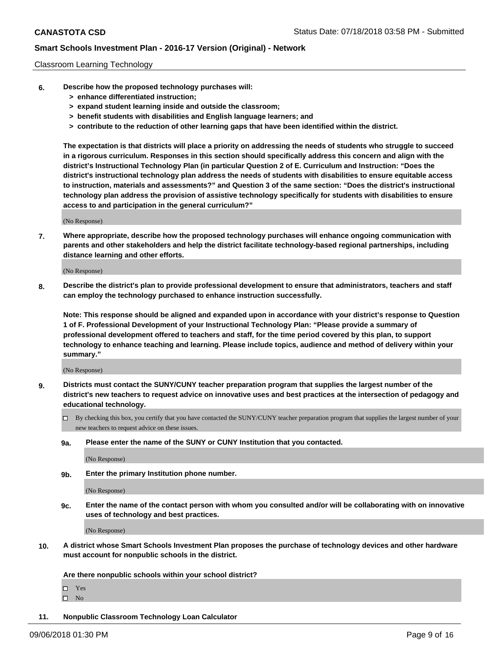#### Classroom Learning Technology

- **6. Describe how the proposed technology purchases will:**
	- **> enhance differentiated instruction;**
	- **> expand student learning inside and outside the classroom;**
	- **> benefit students with disabilities and English language learners; and**
	- **> contribute to the reduction of other learning gaps that have been identified within the district.**

**The expectation is that districts will place a priority on addressing the needs of students who struggle to succeed in a rigorous curriculum. Responses in this section should specifically address this concern and align with the district's Instructional Technology Plan (in particular Question 2 of E. Curriculum and Instruction: "Does the district's instructional technology plan address the needs of students with disabilities to ensure equitable access to instruction, materials and assessments?" and Question 3 of the same section: "Does the district's instructional technology plan address the provision of assistive technology specifically for students with disabilities to ensure access to and participation in the general curriculum?"**

(No Response)

**7. Where appropriate, describe how the proposed technology purchases will enhance ongoing communication with parents and other stakeholders and help the district facilitate technology-based regional partnerships, including distance learning and other efforts.**

(No Response)

**8. Describe the district's plan to provide professional development to ensure that administrators, teachers and staff can employ the technology purchased to enhance instruction successfully.**

**Note: This response should be aligned and expanded upon in accordance with your district's response to Question 1 of F. Professional Development of your Instructional Technology Plan: "Please provide a summary of professional development offered to teachers and staff, for the time period covered by this plan, to support technology to enhance teaching and learning. Please include topics, audience and method of delivery within your summary."**

(No Response)

- **9. Districts must contact the SUNY/CUNY teacher preparation program that supplies the largest number of the district's new teachers to request advice on innovative uses and best practices at the intersection of pedagogy and educational technology.**
	- By checking this box, you certify that you have contacted the SUNY/CUNY teacher preparation program that supplies the largest number of your new teachers to request advice on these issues.
	- **9a. Please enter the name of the SUNY or CUNY Institution that you contacted.**

(No Response)

**9b. Enter the primary Institution phone number.**

(No Response)

**9c. Enter the name of the contact person with whom you consulted and/or will be collaborating with on innovative uses of technology and best practices.**

(No Response)

**10. A district whose Smart Schools Investment Plan proposes the purchase of technology devices and other hardware must account for nonpublic schools in the district.**

**Are there nonpublic schools within your school district?**

Yes

 $\square$  No

**11. Nonpublic Classroom Technology Loan Calculator**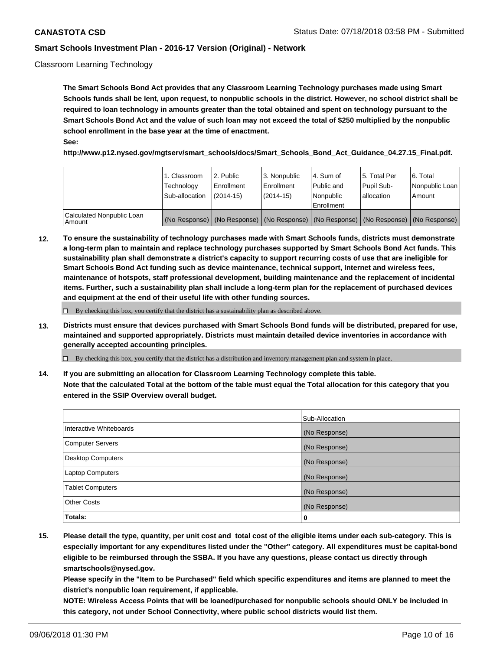#### Classroom Learning Technology

**The Smart Schools Bond Act provides that any Classroom Learning Technology purchases made using Smart Schools funds shall be lent, upon request, to nonpublic schools in the district. However, no school district shall be required to loan technology in amounts greater than the total obtained and spent on technology pursuant to the Smart Schools Bond Act and the value of such loan may not exceed the total of \$250 multiplied by the nonpublic school enrollment in the base year at the time of enactment. See:**

**http://www.p12.nysed.gov/mgtserv/smart\_schools/docs/Smart\_Schools\_Bond\_Act\_Guidance\_04.27.15\_Final.pdf.**

|                                       | 1. Classroom<br>Technology<br>Sub-allocation | 2. Public<br>l Enrollment<br>$(2014-15)$ | l 3. Nonpublic<br>l Enrollment<br>$(2014 - 15)$ | l 4. Sum of<br>Public and<br>l Nonpublic<br>Enrollment                                        | 15. Total Per<br>Pupil Sub-<br>l allocation | l 6. Total<br>Nonpublic Loan<br>Amount |
|---------------------------------------|----------------------------------------------|------------------------------------------|-------------------------------------------------|-----------------------------------------------------------------------------------------------|---------------------------------------------|----------------------------------------|
| Calculated Nonpublic Loan<br>l Amount |                                              |                                          |                                                 | (No Response)   (No Response)   (No Response)   (No Response)   (No Response)   (No Response) |                                             |                                        |

**12. To ensure the sustainability of technology purchases made with Smart Schools funds, districts must demonstrate a long-term plan to maintain and replace technology purchases supported by Smart Schools Bond Act funds. This sustainability plan shall demonstrate a district's capacity to support recurring costs of use that are ineligible for Smart Schools Bond Act funding such as device maintenance, technical support, Internet and wireless fees, maintenance of hotspots, staff professional development, building maintenance and the replacement of incidental items. Further, such a sustainability plan shall include a long-term plan for the replacement of purchased devices and equipment at the end of their useful life with other funding sources.**

 $\Box$  By checking this box, you certify that the district has a sustainability plan as described above.

**13. Districts must ensure that devices purchased with Smart Schools Bond funds will be distributed, prepared for use, maintained and supported appropriately. Districts must maintain detailed device inventories in accordance with generally accepted accounting principles.**

By checking this box, you certify that the district has a distribution and inventory management plan and system in place.

**14. If you are submitting an allocation for Classroom Learning Technology complete this table. Note that the calculated Total at the bottom of the table must equal the Total allocation for this category that you entered in the SSIP Overview overall budget.**

|                         | Sub-Allocation |
|-------------------------|----------------|
| Interactive Whiteboards | (No Response)  |
| Computer Servers        | (No Response)  |
| Desktop Computers       | (No Response)  |
| Laptop Computers        | (No Response)  |
| <b>Tablet Computers</b> | (No Response)  |
| <b>Other Costs</b>      | (No Response)  |
| Totals:                 | 0              |

**15. Please detail the type, quantity, per unit cost and total cost of the eligible items under each sub-category. This is especially important for any expenditures listed under the "Other" category. All expenditures must be capital-bond eligible to be reimbursed through the SSBA. If you have any questions, please contact us directly through smartschools@nysed.gov.**

**Please specify in the "Item to be Purchased" field which specific expenditures and items are planned to meet the district's nonpublic loan requirement, if applicable.**

**NOTE: Wireless Access Points that will be loaned/purchased for nonpublic schools should ONLY be included in this category, not under School Connectivity, where public school districts would list them.**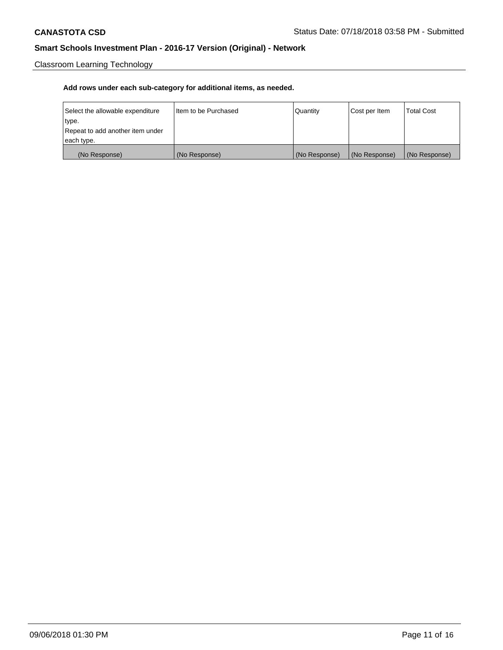Classroom Learning Technology

| Select the allowable expenditure | Iltem to be Purchased | Quantity      | Cost per Item | <b>Total Cost</b> |
|----------------------------------|-----------------------|---------------|---------------|-------------------|
| type.                            |                       |               |               |                   |
| Repeat to add another item under |                       |               |               |                   |
| each type.                       |                       |               |               |                   |
| (No Response)                    | (No Response)         | (No Response) | (No Response) | (No Response)     |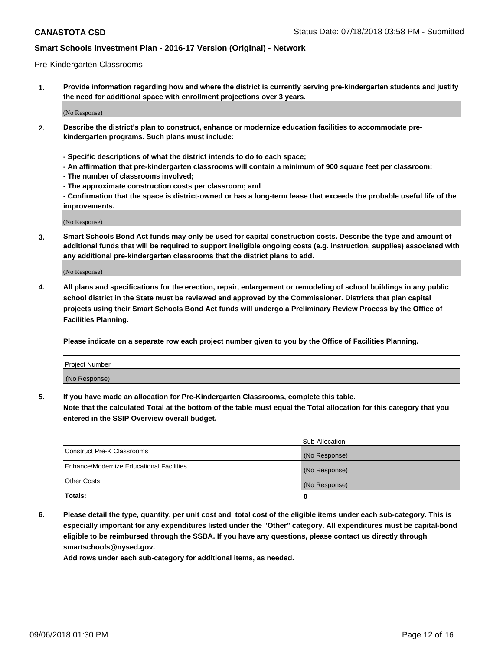#### Pre-Kindergarten Classrooms

**1. Provide information regarding how and where the district is currently serving pre-kindergarten students and justify the need for additional space with enrollment projections over 3 years.**

(No Response)

- **2. Describe the district's plan to construct, enhance or modernize education facilities to accommodate prekindergarten programs. Such plans must include:**
	- **Specific descriptions of what the district intends to do to each space;**
	- **An affirmation that pre-kindergarten classrooms will contain a minimum of 900 square feet per classroom;**
	- **The number of classrooms involved;**
	- **The approximate construction costs per classroom; and**
	- **Confirmation that the space is district-owned or has a long-term lease that exceeds the probable useful life of the improvements.**

(No Response)

**3. Smart Schools Bond Act funds may only be used for capital construction costs. Describe the type and amount of additional funds that will be required to support ineligible ongoing costs (e.g. instruction, supplies) associated with any additional pre-kindergarten classrooms that the district plans to add.**

(No Response)

**4. All plans and specifications for the erection, repair, enlargement or remodeling of school buildings in any public school district in the State must be reviewed and approved by the Commissioner. Districts that plan capital projects using their Smart Schools Bond Act funds will undergo a Preliminary Review Process by the Office of Facilities Planning.**

**Please indicate on a separate row each project number given to you by the Office of Facilities Planning.**

| Project Number |  |
|----------------|--|
| (No Response)  |  |
|                |  |

**5. If you have made an allocation for Pre-Kindergarten Classrooms, complete this table.**

**Note that the calculated Total at the bottom of the table must equal the Total allocation for this category that you entered in the SSIP Overview overall budget.**

|                                          | Sub-Allocation |
|------------------------------------------|----------------|
| Construct Pre-K Classrooms               | (No Response)  |
| Enhance/Modernize Educational Facilities | (No Response)  |
| <b>Other Costs</b>                       | (No Response)  |
| Totals:                                  | 0              |

**6. Please detail the type, quantity, per unit cost and total cost of the eligible items under each sub-category. This is especially important for any expenditures listed under the "Other" category. All expenditures must be capital-bond eligible to be reimbursed through the SSBA. If you have any questions, please contact us directly through smartschools@nysed.gov.**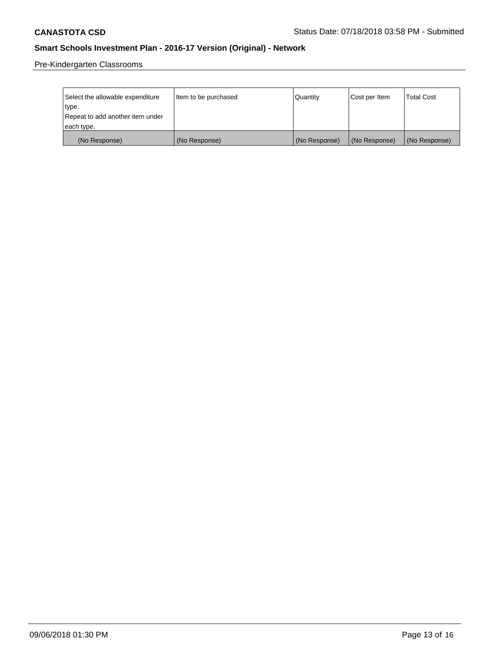Pre-Kindergarten Classrooms

| Select the allowable expenditure | Item to be purchased | Quantity      | Cost per Item | <b>Total Cost</b> |
|----------------------------------|----------------------|---------------|---------------|-------------------|
| type.                            |                      |               |               |                   |
| Repeat to add another item under |                      |               |               |                   |
| each type.                       |                      |               |               |                   |
| (No Response)                    | (No Response)        | (No Response) | (No Response) | (No Response)     |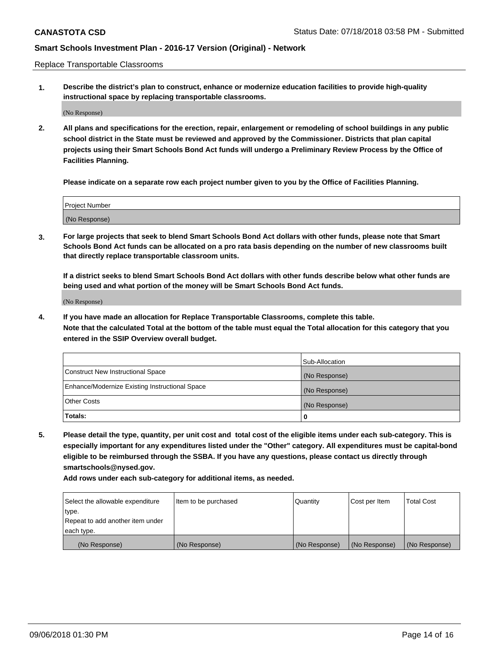Replace Transportable Classrooms

**1. Describe the district's plan to construct, enhance or modernize education facilities to provide high-quality instructional space by replacing transportable classrooms.**

(No Response)

**2. All plans and specifications for the erection, repair, enlargement or remodeling of school buildings in any public school district in the State must be reviewed and approved by the Commissioner. Districts that plan capital projects using their Smart Schools Bond Act funds will undergo a Preliminary Review Process by the Office of Facilities Planning.**

**Please indicate on a separate row each project number given to you by the Office of Facilities Planning.**

| Project Number |  |
|----------------|--|
|                |  |
|                |  |
|                |  |
|                |  |
| (No Response)  |  |
|                |  |
|                |  |
|                |  |

**3. For large projects that seek to blend Smart Schools Bond Act dollars with other funds, please note that Smart Schools Bond Act funds can be allocated on a pro rata basis depending on the number of new classrooms built that directly replace transportable classroom units.**

**If a district seeks to blend Smart Schools Bond Act dollars with other funds describe below what other funds are being used and what portion of the money will be Smart Schools Bond Act funds.**

(No Response)

**4. If you have made an allocation for Replace Transportable Classrooms, complete this table. Note that the calculated Total at the bottom of the table must equal the Total allocation for this category that you entered in the SSIP Overview overall budget.**

|                                                | Sub-Allocation |
|------------------------------------------------|----------------|
| Construct New Instructional Space              | (No Response)  |
| Enhance/Modernize Existing Instructional Space | (No Response)  |
| <b>Other Costs</b>                             | (No Response)  |
| Totals:                                        | 0              |

**5. Please detail the type, quantity, per unit cost and total cost of the eligible items under each sub-category. This is especially important for any expenditures listed under the "Other" category. All expenditures must be capital-bond eligible to be reimbursed through the SSBA. If you have any questions, please contact us directly through smartschools@nysed.gov.**

| Select the allowable expenditure | Item to be purchased | l Quantitv    | Cost per Item | <b>Total Cost</b> |
|----------------------------------|----------------------|---------------|---------------|-------------------|
| type.                            |                      |               |               |                   |
| Repeat to add another item under |                      |               |               |                   |
| each type.                       |                      |               |               |                   |
| (No Response)                    | (No Response)        | (No Response) | (No Response) | (No Response)     |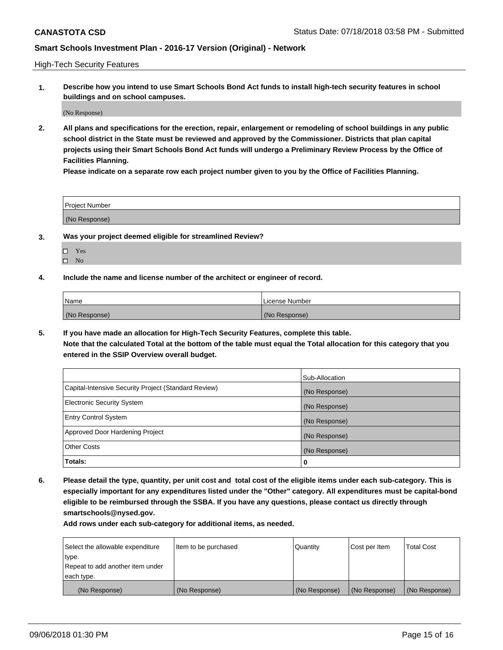High-Tech Security Features

**1. Describe how you intend to use Smart Schools Bond Act funds to install high-tech security features in school buildings and on school campuses.**

(No Response)

**2. All plans and specifications for the erection, repair, enlargement or remodeling of school buildings in any public school district in the State must be reviewed and approved by the Commissioner. Districts that plan capital projects using their Smart Schools Bond Act funds will undergo a Preliminary Review Process by the Office of Facilities Planning.** 

**Please indicate on a separate row each project number given to you by the Office of Facilities Planning.**

| <b>Project Number</b> |  |
|-----------------------|--|
| (No Response)         |  |

- **3. Was your project deemed eligible for streamlined Review?**
	- Yes
	- $\square$  No
- **4. Include the name and license number of the architect or engineer of record.**

| <b>Name</b>   | License Number |
|---------------|----------------|
| (No Response) | (No Response)  |

**5. If you have made an allocation for High-Tech Security Features, complete this table.**

**Note that the calculated Total at the bottom of the table must equal the Total allocation for this category that you entered in the SSIP Overview overall budget.**

|                                                      | Sub-Allocation |
|------------------------------------------------------|----------------|
| Capital-Intensive Security Project (Standard Review) | (No Response)  |
| <b>Electronic Security System</b>                    | (No Response)  |
| <b>Entry Control System</b>                          | (No Response)  |
| Approved Door Hardening Project                      | (No Response)  |
| <b>Other Costs</b>                                   | (No Response)  |
| Totals:                                              | 0              |

**6. Please detail the type, quantity, per unit cost and total cost of the eligible items under each sub-category. This is especially important for any expenditures listed under the "Other" category. All expenditures must be capital-bond eligible to be reimbursed through the SSBA. If you have any questions, please contact us directly through smartschools@nysed.gov.**

| Select the allowable expenditure | Item to be purchased | l Quantitv    | Cost per Item | <b>Total Cost</b> |
|----------------------------------|----------------------|---------------|---------------|-------------------|
| type.                            |                      |               |               |                   |
| Repeat to add another item under |                      |               |               |                   |
| each type.                       |                      |               |               |                   |
| (No Response)                    | (No Response)        | (No Response) | (No Response) | (No Response)     |